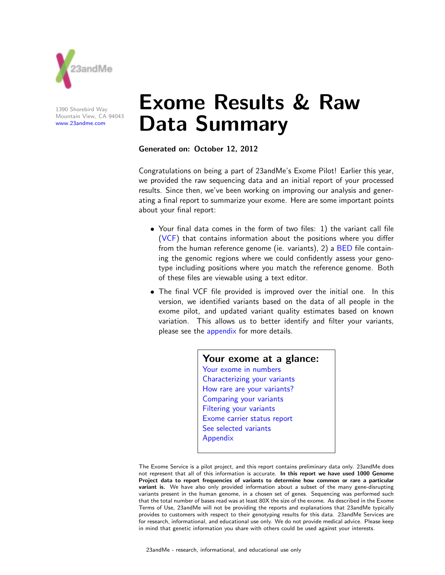

1390 Shorebird Way Mountain View, CA 94043 www.23andme.com

# Exome Results & Raw Data Summary

Generated on: October 12, 2012

Congratulations on being a part of 23andMe's Exome Pilot! Earlier this year, we provided the raw sequencing data and an initial report of your processed results. Since then, we've been working on improving our analysis and generating a final report to summarize your exome. Here are some important points about your final report:

- Your final data comes in the form of two files: 1) the variant call file (VCF) that contains information about the positions where you differ from the human reference genome (ie. variants), 2) a **BED** file containing the genomic regions where we could confidently assess your genotype including positions where you match the reference genome. Both of these files are viewable using a text editor.
- The final VCF file provided is improved over the initial one. In this version, we identified variants based on the data of all people in the exome pilot, and updated variant quality estimates based on known variation. This allows us to better identify and filter your variants, please see the appendix for more details.

Your exome at a glance: Your exome in numbers Characterizing your variants How rare are your variants? Comparing your variants Filtering your variants Exome carrier status report See selected variants Appendix

The Exome Service is a pilot project, and this report contains preliminary data only. 23andMe does not represent that all of this information is accurate. In this report we have used 1000 Genome Project data to report frequencies of variants to determine how common or rare a particular variant is. We have also only provided information about a subset of the many gene-disrupting variants present in the human genome, in a chosen set of genes. Sequencing was performed such that the total number of bases read was at least 80X the size of the exome. As described in the Exome Terms of Use, 23andMe will not be providing the reports and explanations that 23andMe typically provides to customers with respect to their genotyping results for this data. 23andMe Services are for research, informational, and educational use only. We do not provide medical advice. Please keep in mind that genetic information you share with others could be used against your interests.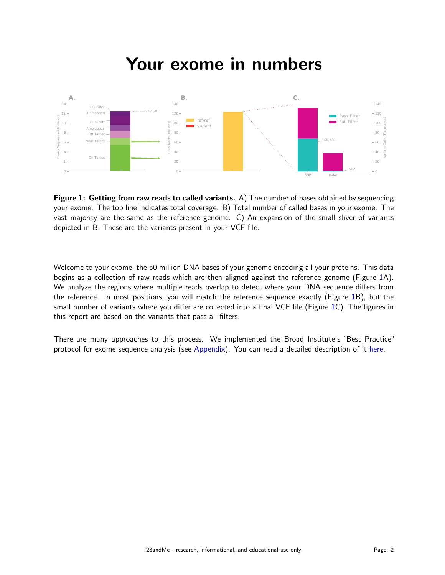### Your exome in numbers



Figure 1: Getting from raw reads to called variants. A) The number of bases obtained by sequencing your exome. The top line indicates total coverage. B) Total number of called bases in your exome. The vast majority are the same as the reference genome. C) An expansion of the small sliver of variants depicted in B. These are the variants present in your VCF file.

Welcome to your exome, the 50 million DNA bases of your genome encoding all your proteins. This data begins as a collection of raw reads which are then aligned against the reference genome (Figure 1A). We analyze the regions where multiple reads overlap to detect where your DNA sequence differs from the reference. In most positions, you will match the reference sequence exactly (Figure 1B), but the small number of variants where you differ are collected into a final VCF file (Figure 1C). The figures in this report are based on the variants that pass all filters.

There are many approaches to this process. We implemented the Broad Institute's "Best Practice" protocol for exome sequence analysis (see Appendix). You can read a detailed description of it here.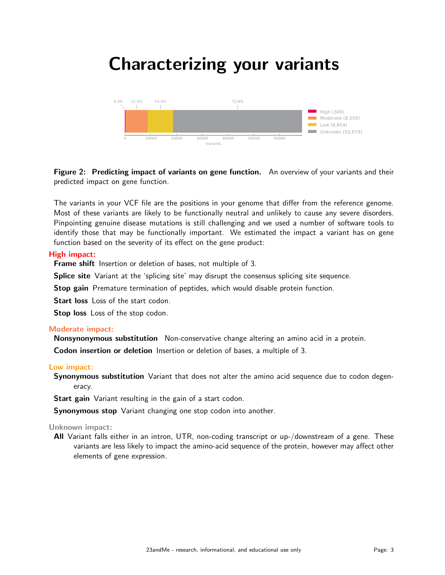### Characterizing your variants



Figure 2: Predicting impact of variants on gene function. An overview of your variants and their predicted impact on gene function.

The variants in your VCF file are the positions in your genome that differ from the reference genome. Most of these variants are likely to be functionally neutral and unlikely to cause any severe disorders. Pinpointing genuine disease mutations is still challenging and we used a number of software tools to identify those that may be functionally important. We estimated the impact a variant has on gene function based on the severity of its effect on the gene product:

#### High impact:

Frame shift Insertion or deletion of bases, not multiple of 3.

Splice site Variant at the 'splicing site' may disrupt the consensus splicing site sequence.

Stop gain Premature termination of peptides, which would disable protein function.

Start loss Loss of the start codon.

Stop loss Loss of the stop codon.

#### Moderate impact:

Nonsynonymous substitution Non-conservative change altering an amino acid in a protein.

Codon insertion or deletion Insertion or deletion of bases, a multiple of 3.

#### Low impact:

Synonymous substitution Variant that does not alter the amino acid sequence due to codon degeneracy.

Start gain Variant resulting in the gain of a start codon.

Synonymous stop Variant changing one stop codon into another.

#### Unknown impact:

All Variant falls either in an intron, UTR, non-coding transcript or up-/downstream of a gene. These variants are less likely to impact the amino-acid sequence of the protein, however may affect other elements of gene expression.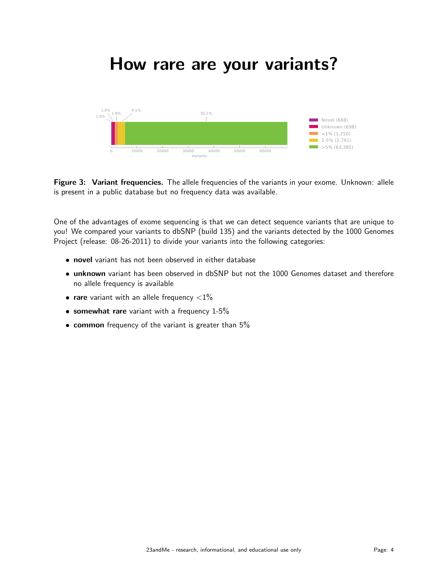### How rare are your variants?



Figure 3: Variant frequencies. The allele frequencies of the variants in your exome. Unknown: allele is present in a public database but no frequency data was available.

One of the advantages of exome sequencing is that we can detect sequence variants that are unique to you! We compared your variants to dbSNP (build 135) and the variants detected by the 1000 Genomes Project (release: 08-26-2011) to divide your variants into the following categories:

- novel variant has not been observed in either database
- **unknown** variant has been observed in dbSNP but not the 1000 Genomes dataset and therefore no allele frequency is available
- **rare** variant with an allele frequency  $\langle 1\%$
- **somewhat rare** variant with a frequency  $1-5%$
- common frequency of the variant is greater than 5<sup>%</sup>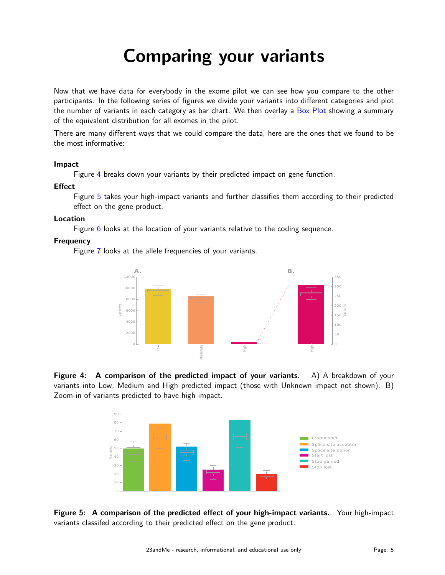## Comparing your variants

Now that we have data for everybody in the exome pilot we can see how you compare to the other participants. In the following series of figures we divide your variants into different categories and plot the number of variants in each category as bar chart. We then overlay a Box Plot showing a summary of the equivalent distribution for all exomes in the pilot.

There are many different ways that we could compare the data, here are the ones that we found to be the most informative:

#### Impact

Figure 4 breaks down your variants by their predicted impact on gene function.

#### **Effect**

Figure 5 takes your high-impact variants and further classifies them according to their predicted effect on the gene product.

#### Location

Figure 6 looks at the location of your variants relative to the coding sequence.

#### **Frequency**

Figure 7 looks at the allele frequencies of your variants.



**Figure 4:** A comparison of the predicted impact of your variants. A) A breakdown of your variants into Low, Medium and High predicted impact (those with Unknown impact not shown). B) Zoom-in of variants predicted to have high impact.



Figure 5: A comparison of the predicted effect of your high-impact variants. Your high-impact variants classifed according to their predicted effect on the gene product.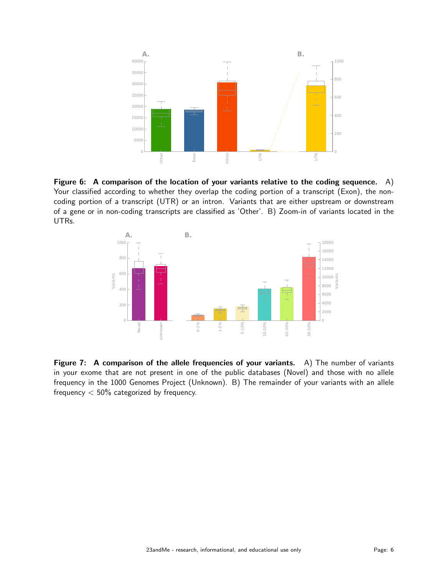

Figure 6: A comparison of the location of your variants relative to the coding sequence.  $A$ ) Your classified according to whether they overlap the coding portion of a transcript (Exon), the noncoding portion of a transcript (UTR) or an intron. Variants that are either upstream or downstream of a gene or in non-coding transcripts are classified as 'Other'. B) Zoom-in of variants located in the UTRs.



Figure 7: A comparison of the allele frequencies of your variants. A) The number of variants in your exome that are not present in one of the public databases (Novel) and those with no allele frequency in the 1000 Genomes Project (Unknown). B) The remainder of your variants with an allele frequency  $< 50\%$  categorized by frequency.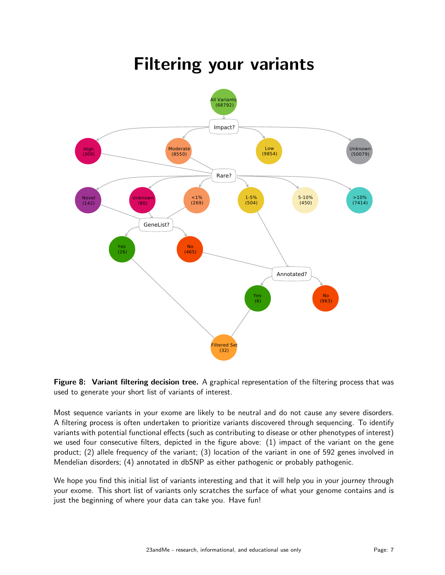#### Impact? Rare? GeneList? Annotated? II Variants (68792) High (309) Moderate (8550) Low (9854) Unknown (50079) Novel (142) Unknow (80)  $1%$ (269) 1-5% (504) 5-10% (450) >10% (7414) Yes (26) No (465) Yes (6) No (963) Filtered Set (32)

### Filtering your variants



Most sequence variants in your exome are likely to be neutral and do not cause any severe disorders. A filtering process is often undertaken to prioritize variants discovered through sequencing. To identify variants with potential functional effects (such as contributing to disease or other phenotypes of interest) we used four consecutive filters, depicted in the figure above: (1) impact of the variant on the gene product; (2) allele frequency of the variant; (3) location of the variant in one of 592 genes involved in Mendelian disorders; (4) annotated in dbSNP as either pathogenic or probably pathogenic.

We hope you find this initial list of variants interesting and that it will help you in your journey through your exome. This short list of variants only scratches the surface of what your genome contains and is just the beginning of where your data can take you. Have fun!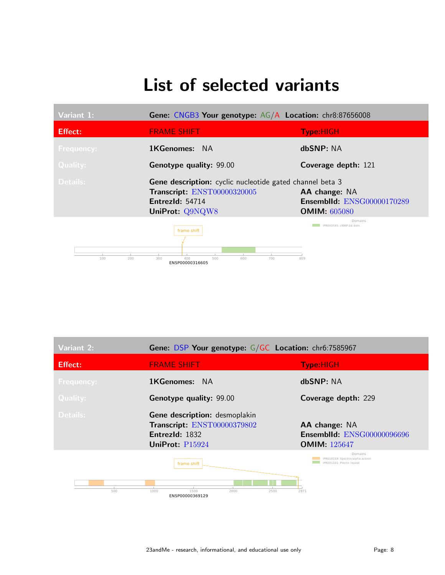## List of selected variants

| Variant 1:        | Gene: CNGB3 Your genotype: AG/A Location: chr8:87656008                                                                                     |                                                                    |
|-------------------|---------------------------------------------------------------------------------------------------------------------------------------------|--------------------------------------------------------------------|
| <b>Effect:</b>    | <b>FRAME SHIFT</b>                                                                                                                          | <b>Type:HIGH</b>                                                   |
| <b>Frequency:</b> | <b>1KGenomes: NA</b>                                                                                                                        | dbSNP: NA                                                          |
| <b>Quality:</b>   | <b>Genotype quality: 99.00</b>                                                                                                              | Coverage depth: 121                                                |
| Details:          | <b>Gene description:</b> cyclic nucleotide gated channel beta 3<br>Transcript: ENST00000320005<br><b>EntrezId: 54714</b><br>UniProt: Q9NQW8 | AA change: NA<br>Ensemblid: ENSG00000170289<br><b>OMIM: 605080</b> |
|                   | frame shift                                                                                                                                 | Domains<br>IPR000595: cNMP-bd dom                                  |

100 200 300 400 500 600 700 809 ENSP00000316605

| Variant 2:        | Gene: DSP Your genotype: G/GC Location: chr6:7585967                                              |                                                                           |
|-------------------|---------------------------------------------------------------------------------------------------|---------------------------------------------------------------------------|
| <b>Effect:</b>    | <b>FRAME SHIFT</b>                                                                                | <b>Type:HIGH</b>                                                          |
| <b>Frequency:</b> | <b>1KGenomes:</b> NA                                                                              | dbSNP: NA                                                                 |
| <b>Quality:</b>   | <b>Genotype quality: 99.00</b>                                                                    | Coverage depth: 229                                                       |
| Details:          | Gene description: desmoplakin<br>Transcript: ENST00000379802<br>EntrezId: 1832<br>UniProt: P15924 | AA change: NA<br><b>Ensemblid: ENSG00000096696</b><br><b>OMIM:</b> 125647 |
|                   | frame shift                                                                                       | Domains<br>IPR018159: Spectrin/alpha-actinin<br>IPR001101: Plectin repeat |
| 500               | 1000<br>1500<br>2000<br>2500<br>ENSP00000369129                                                   | 2871                                                                      |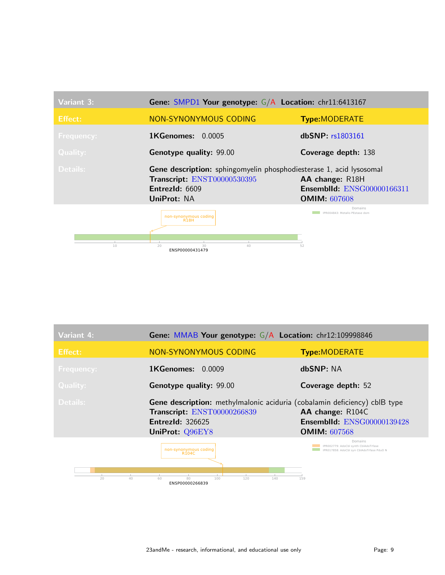| Variant 3:        | Gene: SMPD1 Your genotype: G/A Location: chr11:6413167                                                                                        |                                                                             |
|-------------------|-----------------------------------------------------------------------------------------------------------------------------------------------|-----------------------------------------------------------------------------|
| <b>Effect:</b>    | NON-SYNONYMOUS CODING                                                                                                                         | <b>Type:MODERATE</b>                                                        |
| <b>Frequency:</b> | <b>1KGenomes:</b><br>0.0005                                                                                                                   | dbSNP: r <sub>s</sub> 1803161                                               |
| <b>Quality:</b>   | <b>Genotype quality: 99.00</b>                                                                                                                | Coverage depth: 138                                                         |
| Details:          | <b>Gene description:</b> sphingomyelin phosphodiesterase 1, acid lysosomal<br>Transcript: ENST00000530395<br>Entrez $Id: 6609$<br>UniProt: NA | AA change: R18H<br><b>Ensemblid: ENSG00000166311</b><br><b>OMIM: 607608</b> |
|                   | non-synonymous coding<br><b>R18H</b>                                                                                                          | Domains<br>IPR004843: Metallo PEstase dom                                   |
|                   |                                                                                                                                               |                                                                             |

| Variant 4:        | Gene: MMAB Your genotype: G/A Location: chr12:109998846                                                                                                       |                                                                                                     |
|-------------------|---------------------------------------------------------------------------------------------------------------------------------------------------------------|-----------------------------------------------------------------------------------------------------|
| Effect:           | NON-SYNONYMOUS CODING                                                                                                                                         | <b>Type:MODERATE</b>                                                                                |
| <b>Frequency:</b> | <b>1KGenomes: 0.0009</b>                                                                                                                                      | dbSNP: NA                                                                                           |
| <b>Quality:</b>   | Genotype quality: 99.00                                                                                                                                       | Coverage depth: 52                                                                                  |
| Details:          | <b>Gene description:</b> methylmalonic aciduria (cobalamin deficiency) cblB type<br>Transcript: ENST00000266839<br><b>EntrezId: 326625</b><br>UniProt: Q96EY8 | AA change: R104C<br><b>Ensemblid: ENSG00000139428</b><br><b>OMIM: 607568</b>                        |
| 20<br>40          | non-synonymous coding<br>R <sub>104</sub> C<br>80<br>60<br>100<br>120<br>140<br>ENSP00000266839                                                               | Domains<br>IPR002779: AdoCbl synth CblAdoTrfase<br>IPR017858: AdoCbl syn CblAdoTrfase PduO N<br>159 |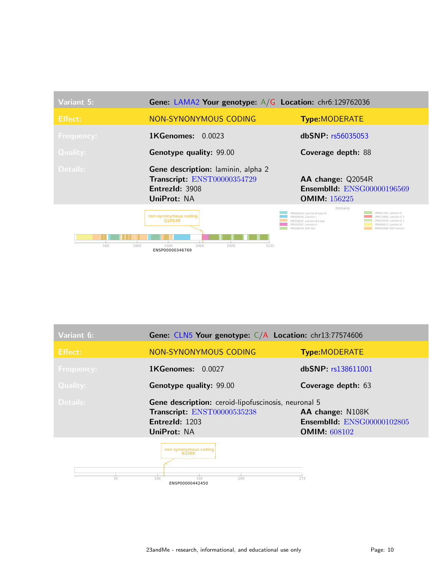| Variant 5:        | <b>Gene: LAMA2 Your genotype:</b> $A/G$ <b>Location:</b> chr6:129762036                                   |                                                                                                                                                                                                                                                                         |
|-------------------|-----------------------------------------------------------------------------------------------------------|-------------------------------------------------------------------------------------------------------------------------------------------------------------------------------------------------------------------------------------------------------------------------|
| <b>Effect:</b>    | <b>NON-SYNONYMOUS CODING</b>                                                                              | <b>Type:MODERATE</b>                                                                                                                                                                                                                                                    |
| <b>Frequency:</b> | <b>1KGenomes:</b><br>0.0023                                                                               | $dbSNP:$ $rs56035053$                                                                                                                                                                                                                                                   |
| <b>Quality:</b>   | Genotype quality: 99.00                                                                                   | Coverage depth: 88                                                                                                                                                                                                                                                      |
| Details:          | <b>Gene description:</b> laminin, alpha 2<br>Transcript: ENST00000354729<br>EntrezId: 3908<br>UniProt: NA | AA change: Q2054R<br><b>Ensemblid: ENSG00000196569</b><br><b>OMIM: 156225</b>                                                                                                                                                                                           |
| 500<br>1000       | non-synonymous coding<br><b>O2054R</b><br>1500<br>2000<br>2500<br>3121<br>ENSP00000346769                 | Domains<br>IPR001791: Laminin G<br>IPR000034: Laminin B type IV<br>IPR009254: Laminin I<br>PR012680: Laminin G 2<br>PR012679: Laminin G 1<br>IPR018031: Laminin B subgr<br>PR010307: Laminin II<br>PR008211: Laminin N<br>IPR006210: EGF-like<br>IPR002049: EGF laminin |

| Variant 6:        | Gene: CLN5 Your genotype: C/A Location: chr13:77574606                                                              |                                                                              |
|-------------------|---------------------------------------------------------------------------------------------------------------------|------------------------------------------------------------------------------|
| <b>Effect:</b>    | NON-SYNONYMOUS CODING                                                                                               | <b>Type:MODERATE</b>                                                         |
| <b>Frequency:</b> | 1KGenomes: 0.0027                                                                                                   | dbSNP: rs138611001                                                           |
| <b>Quality:</b>   | Genotype quality: 99.00                                                                                             | Coverage depth: 63                                                           |
| Details:          | Gene description: ceroid-lipofuscinosis, neuronal 5<br>Transcript: ENST00000535238<br>EntrezId: 1203<br>UniProt: NA | AA change: N108K<br><b>Ensemblid: ENSG00000102805</b><br><b>OMIM: 608102</b> |
|                   | non-synonymous coding<br><b>N108K</b>                                                                               |                                                                              |

23andMe - research, informational, and educational use only example that the Page: 10

50 100 150 273<br>**ENSP00000442450** 200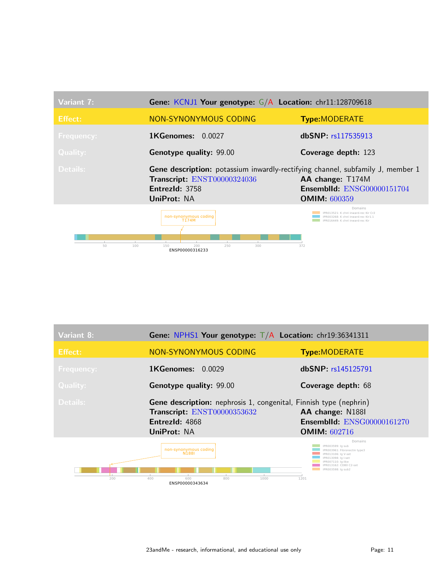| Variant 7:                | Gene: KCNJ1 Your genotype: G/A Location: chr11:128709618                                                                                              |                                                                                                                                |
|---------------------------|-------------------------------------------------------------------------------------------------------------------------------------------------------|--------------------------------------------------------------------------------------------------------------------------------|
| <b>Effect:</b>            | NON-SYNONYMOUS CODING                                                                                                                                 | <b>Type:MODERATE</b>                                                                                                           |
| <b>Frequency:</b>         | $1$ KGenomes: $0.0027$                                                                                                                                | dbSNP: rs117535913                                                                                                             |
| <b>Quality:</b>           | Genotype quality: 99.00                                                                                                                               | <b>Coverage depth: 123</b>                                                                                                     |
| Details:                  | <b>Gene description:</b> potassium inwardly-rectifying channel, subfamily J, member 1<br>Transcript: ENST00000324036<br>EntrezId: 3758<br>UniProt: NA | AA change: T174M<br><b>Ensemblid: ENSG00000151704</b><br><b>OMIM: 600359</b>                                                   |
| $\mathbb{R}$<br>50<br>100 | non-synonymous coding<br>T174M<br><b>COL</b><br>250<br>300<br>150<br>200<br>ENSP00000316233                                                           | Domains<br>PR013521: K chnl inward-rec Kir Cr2<br>PR003268: K chnl inward-rec Kir1.1<br>PR016449: K chnl inward-rec Kir<br>372 |

| Variant 8:        | <b>Gene: NPHS1 Your genotype:</b> $T/A$ <b>Location:</b> chr19:36341311                                                                  |                                                                                                                                                                                  |
|-------------------|------------------------------------------------------------------------------------------------------------------------------------------|----------------------------------------------------------------------------------------------------------------------------------------------------------------------------------|
| <b>Effect:</b>    | NON-SYNONYMOUS CODING                                                                                                                    | <b>Type:MODERATE</b>                                                                                                                                                             |
| <b>Frequency:</b> | <b>1KGenomes:</b><br>0.0029                                                                                                              | dbSNP: rs145125791                                                                                                                                                               |
| Quality:          | Genotype quality: 99.00                                                                                                                  | Coverage depth: 68                                                                                                                                                               |
| Details:          | <b>Gene description:</b> nephrosis 1, congenital, Finnish type (nephrin)<br>Transcript: ENST00000353632<br>EntrezId: 4868<br>UniProt: NA | AA change: N1881<br><b>Ensemblid: ENSG00000161270</b><br><b>OMIM: 602716</b>                                                                                                     |
|                   | non-synonymous coding<br>N <sub>1881</sub>                                                                                               | Domains<br>IPR003599: Ia sub<br>IPR003961: Fibronectin type3<br>IPR013106: Ig V-set<br>IPR013098: la I-set<br>IPR007110: la-like<br>IPR013162: CD80 C2-set<br>IPR003598: la sub2 |

200 400 600 800 1000 1201<br>**ENSP00000343634** 800 1000 1201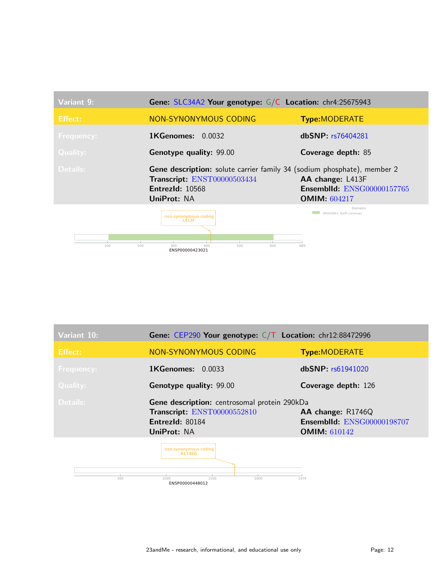

| Variant 10:       | Gene: CEP290 Your genotype: $C/T$ Location: chr12:88472996                                                    |                                                                               |
|-------------------|---------------------------------------------------------------------------------------------------------------|-------------------------------------------------------------------------------|
| <b>Effect:</b>    | NON-SYNONYMOUS CODING                                                                                         | <b>Type:MODERATE</b>                                                          |
| <b>Frequency:</b> | <b>1KGenomes:</b><br>0.0033                                                                                   | dbSNP: rs61941020                                                             |
| <b>Quality:</b>   | Genotype quality: 99.00                                                                                       | Coverage depth: 126                                                           |
| Details:          | Gene description: centrosomal protein 290kDa<br>Transcript: ENST00000552810<br>EntrezId: 80184<br>UniProt: NA | AA change: R1746Q<br><b>Ensemblid: ENSG00000198707</b><br><b>OMIM:</b> 610142 |
| 500               | non-synonymous coding<br>R17460<br>1000<br>1500<br>2000                                                       | 2479                                                                          |

ENSP00000448012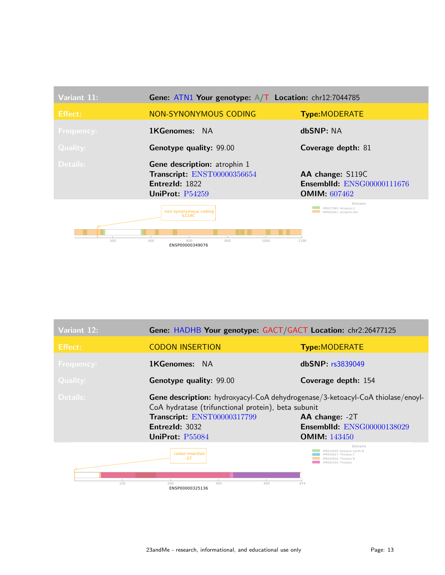| Variant 11:       | Gene: ATN1 Your genotype: $A/T$ Location: chr12:7044785                                                   |                                                                         |
|-------------------|-----------------------------------------------------------------------------------------------------------|-------------------------------------------------------------------------|
| <b>Effect:</b>    | NON-SYNONYMOUS CODING                                                                                     | <b>Type:MODERATE</b>                                                    |
| <b>Frequency:</b> | <b>1KGenomes:</b> NA                                                                                      | dbSNP: NA                                                               |
| <b>Quality:</b>   | Genotype quality: 99.00                                                                                   | Coverage depth: 81                                                      |
| Details:          | <b>Gene description:</b> atrophin 1<br>Transcript: ENST00000356654<br>EntrezId: 1822<br>UniProt: $P54259$ | AA change: S119C<br>Ensemblid: ENSG00000111676<br><b>OMIM:</b> $607462$ |
|                   | non-synonymous coding<br>S119C                                                                            | Domains<br>IPR017993: Atrophin-1<br>IPR002951: Atrophin-like            |
| 200               | 400<br>600<br>800<br>1000<br>ENSP00000349076                                                              | 1190                                                                    |

| Variant 12:     | Gene: HADHB Your genotype: GACT/GACT Location: chr2:26477125                                                                                                                                              |                                                                                                                      |
|-----------------|-----------------------------------------------------------------------------------------------------------------------------------------------------------------------------------------------------------|----------------------------------------------------------------------------------------------------------------------|
| <b>Effect:</b>  | <b>CODON INSERTION</b>                                                                                                                                                                                    | <b>Type:MODERATE</b>                                                                                                 |
| Frequency:      | <b>1KGenomes:</b><br><b>NA</b>                                                                                                                                                                            | dbSNP: rs3839049                                                                                                     |
| <b>Quality:</b> | Genotype quality: 99.00                                                                                                                                                                                   | Coverage depth: 154                                                                                                  |
| Details:        | Gene description: hydroxyacyl-CoA dehydrogenase/3-ketoacyl-CoA thiolase/enoyl-<br>CoA hydratase (trifunctional protein), beta subunit<br>Transcript: ENST00000317799<br>EntrezId: 3032<br>UniProt: P55084 | AA change: -2T<br><b>Ensemblid: ENSG00000138029</b><br><b>OMIM:</b> 143450                                           |
| 100             | codon insertion<br>$-2T$<br>200<br>300<br>400<br>ENSP00000325136                                                                                                                                          | Domains<br>IPR014030: Ketoacyl synth N<br>PR020617: Thiolase C<br>PR020616: Thiolase N<br>IPR002155: Thiolase<br>474 |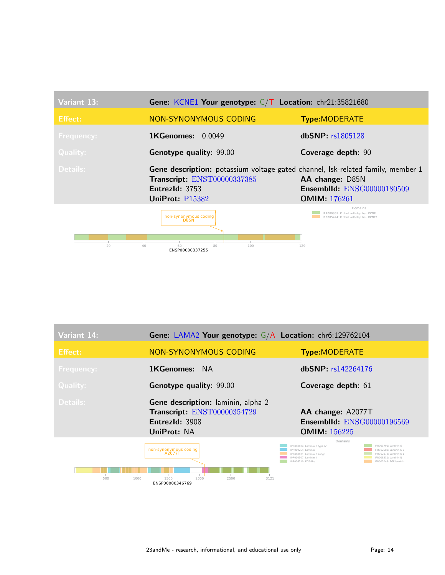

| Variant 14:       | Gene: LAMA2 Your genotype: G/A Location: chr6:129762104                                            |                                                                                                                                                                                                                                                                         |
|-------------------|----------------------------------------------------------------------------------------------------|-------------------------------------------------------------------------------------------------------------------------------------------------------------------------------------------------------------------------------------------------------------------------|
| Effect:           | NON-SYNONYMOUS CODING                                                                              | <b>Type:MODERATE</b>                                                                                                                                                                                                                                                    |
| <b>Frequency:</b> | <b>1KGenomes:</b> NA                                                                               | dbSNP: rs142264176                                                                                                                                                                                                                                                      |
| <b>Quality:</b>   | <b>Genotype quality: 99.00</b>                                                                     | Coverage depth: 61                                                                                                                                                                                                                                                      |
| Details:          | Gene description: laminin, alpha 2<br>Transcript: ENST00000354729<br>EntrezId: 3908<br>UniProt: NA | AA change: A2077T<br><b>Ensemblid: ENSG00000196569</b><br><b>OMIM:</b> 156225                                                                                                                                                                                           |
| 500<br>1000       | non-synonymous coding<br>A2077T<br>2000<br>3121<br>1500<br>2500<br>ENSP00000346769                 | Domains<br>IPR000034: Laminin B type IV<br>IPR001791: Laminin G<br>PR009254: Laminin I<br>PR012680: Laminin G 2<br>IPR012679: Laminin G 1<br>IPR018031: Laminin B subgr<br>PR010307: Laminin II<br>PR008211: Laminin N<br>IPR006210: EGE-like<br>IPR002049: EGE Jaminin |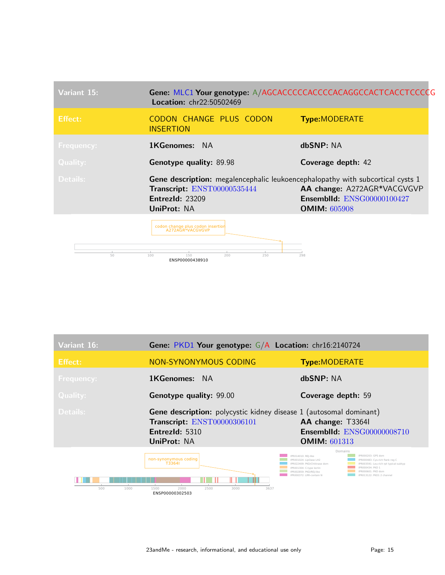| Variant 15:       | Gene: MLC1 Your genotype: A/AGCACCCCCACCCCACAGGCCACTCACCTCCCCG<br><b>Location: chr22:50502469</b>                                                      |                                                                                  |
|-------------------|--------------------------------------------------------------------------------------------------------------------------------------------------------|----------------------------------------------------------------------------------|
| <b>Effect:</b>    | CODON CHANGE PLUS CODON<br><b>INSERTION</b>                                                                                                            | <b>Type:MODERATE</b>                                                             |
| <b>Frequency:</b> | <b>1KGenomes:</b> NA                                                                                                                                   | dbSNP: NA                                                                        |
| Quality:          | <b>Genotype quality: 89.98</b>                                                                                                                         | Coverage depth: 42                                                               |
| Details:          | <b>Gene description:</b> megalencephalic leukoencephalopathy with subcortical cysts 1<br>Transcript: ENST00000535444<br>EntrezId: 23209<br>UniProt: NA | AA change: A272AGR*VACGVGVP<br>Ensemblid: ENSG00000100427<br><b>OMIM: 605908</b> |
|                   | codon change plus codon insertion<br>A272AGR*VACGVGVP                                                                                                  |                                                                                  |
| 50                | 150<br>200<br>250<br>100<br>ENSP00000438910                                                                                                            | 298                                                                              |

| Variant 16:       | Gene: PKD1 Your genotype: G/A Location: chr16:2140724                                                                                        |                                                                                                                                                                                                                                                                                                                                                    |
|-------------------|----------------------------------------------------------------------------------------------------------------------------------------------|----------------------------------------------------------------------------------------------------------------------------------------------------------------------------------------------------------------------------------------------------------------------------------------------------------------------------------------------------|
| Effect:           | NON-SYNONYMOUS CODING                                                                                                                        | <b>Type:MODERATE</b>                                                                                                                                                                                                                                                                                                                               |
| <b>Frequency:</b> | <b>1KGenomes:</b><br><b>NA</b>                                                                                                               | dbSNP: NA                                                                                                                                                                                                                                                                                                                                          |
| <b>Quality:</b>   | Genotype quality: 99.00                                                                                                                      | Coverage depth: 59                                                                                                                                                                                                                                                                                                                                 |
| Details:          | <b>Gene description:</b> polycystic kidney disease 1 (autosomal dominant)<br>Transcript: ENST00000306101<br>Entrez $Id: 5310$<br>UniProt: NA | AA change: T3364l<br><b>Ensemblid: ENSG00000008710</b><br><b>OMIM: 601313</b>                                                                                                                                                                                                                                                                      |
| 500<br>1000       | non-synonymous coding<br>T3364I<br>3637<br>1500<br>2000<br>2500<br>3000<br>ENSP00000302503                                                   | Domains<br>IPR014010: REI-like<br>IPR000203: GPS dom<br>IPR001024: LipOase LH2<br>IPR000483: Cvs-rich flank reg C<br>IPR022409: PKD/Chitinase dom<br>IPR003591: Leu-rich rpt typical-subtyp<br>PR000434: PKD 1<br>IPR001304: C-type lectin<br>IPR002859: PKD/REI-like<br>PR000601: PKD dom<br>IPR000372: LRR-contain N<br>PR013122: PKD1 2 channel |

п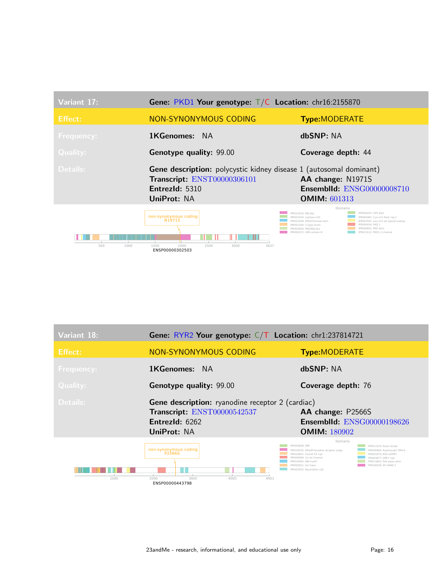| Variant 17:       | Gene: PKD1 Your genotype: $T/C$ Location: chr16:2155870                                                                                          |                                                                                                                                                                                                                                                                                                                                                       |
|-------------------|--------------------------------------------------------------------------------------------------------------------------------------------------|-------------------------------------------------------------------------------------------------------------------------------------------------------------------------------------------------------------------------------------------------------------------------------------------------------------------------------------------------------|
| <b>Effect:</b>    | NON-SYNONYMOUS CODING                                                                                                                            | <b>Type:MODERATE</b>                                                                                                                                                                                                                                                                                                                                  |
| <b>Frequency:</b> | 1KGenomes:<br>- NA                                                                                                                               | dbSNP: NA                                                                                                                                                                                                                                                                                                                                             |
| <b>Quality:</b>   | Genotype quality: 99.00                                                                                                                          | Coverage depth: 44                                                                                                                                                                                                                                                                                                                                    |
| Details:          | <b>Gene description:</b> polycystic kidney disease 1 (autosomal dominant)<br>Transcript: ENST00000306101<br>EntrezId: 5310<br><b>UniProt: NA</b> | AA change: N1971S<br><b>Ensemblid: ENSG00000008710</b><br><b>OMIM: 601313</b>                                                                                                                                                                                                                                                                         |
| 500<br>1000       | non-synonymous coding<br>N1971S<br>3637<br>1500<br>2000<br>2500<br>3000<br>ENSP00000302503                                                       | Domains<br>IPR000203: GPS dom<br>IPR014010: REI-like<br>IPR001024: LipOase LH2<br>IPR000483: Cys-rich flank reg C<br>IPR022409: PKD/Chitinase dom<br>IPR003591: Leu-rich rpt typical-subtyp<br>PR000434: PKD 1<br>IPR001304: C-type lectin<br>IPR000601: PKD dom<br>IPR002859: PKD/REI-like<br>IPR000372: I RR-contain N<br>IPR013122: PKD1.2 channel |

| Variant 18:       | Gene: RYR2 Your genotype: C/T Location: chr1:237814721                                                           |                                                                                                                                                                                                                                                                                                                                                                         |
|-------------------|------------------------------------------------------------------------------------------------------------------|-------------------------------------------------------------------------------------------------------------------------------------------------------------------------------------------------------------------------------------------------------------------------------------------------------------------------------------------------------------------------|
| Effect:           | NON-SYNONYMOUS CODING                                                                                            | <b>Type:MODERATE</b>                                                                                                                                                                                                                                                                                                                                                    |
| <b>Frequency:</b> | <b>1KGenomes:</b><br><b>NA</b>                                                                                   | dbSNP: NA                                                                                                                                                                                                                                                                                                                                                               |
| <b>Quality:</b>   | Genotype quality: 99.00                                                                                          | Coverage depth: 76                                                                                                                                                                                                                                                                                                                                                      |
| Details:          | Gene description: ryanodine receptor 2 (cardiac)<br>Transcript: ENST00000542537<br>EntrezId: 6262<br>UniProt: NA | AA change: P2566S<br>Ensemblid: ENSG00000198626<br><b>OMIM: 180902</b>                                                                                                                                                                                                                                                                                                  |
| 1000              | non-synonymous coding<br>P2566S<br>2000<br>3000<br>4000<br>4951<br>ENSP00000443798                               | Domains<br>IPR003608: MIR<br>IPR013333: Ryan recept<br>IPR018355: SPla/RYanodine receptor subgr<br>IPR009460: Rvanrecept TM4-6<br>IPR014821: Ins145 P3 rcpt<br>IPR001870: B30.2/SPRY<br>IPR000699: Ca-rel channel<br>PR003877: SPRY rcpt<br>IPR016093: MIR motif<br>PR013662: RIH assoc-dom<br>IPR005821: Ion trans<br>PR018249: FF HAND 2<br>IPR003032: Ryanodine rcpt |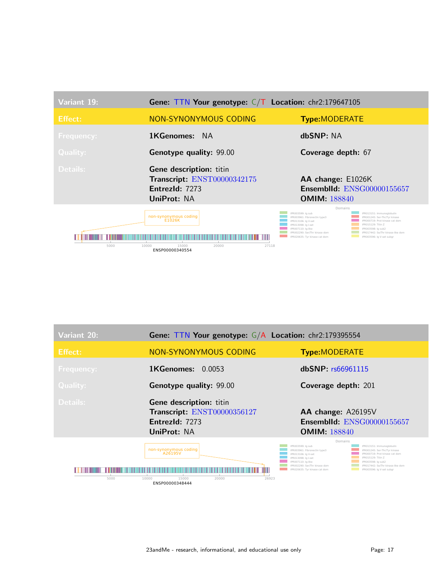| Variant 19:       | <b>Gene: TTN Your genotype:</b> $C/T$ <b>Location:</b> chr2:179647105                  |                                                                                                                                                                                                                                                                                                                                                                                                                  |
|-------------------|----------------------------------------------------------------------------------------|------------------------------------------------------------------------------------------------------------------------------------------------------------------------------------------------------------------------------------------------------------------------------------------------------------------------------------------------------------------------------------------------------------------|
| <b>Effect:</b>    | <b>NON-SYNONYMOUS CODING</b>                                                           | <b>Type:MODERATE</b>                                                                                                                                                                                                                                                                                                                                                                                             |
| <b>Frequency:</b> | <b>1KGenomes:</b> NA                                                                   | dbSNP: NA                                                                                                                                                                                                                                                                                                                                                                                                        |
| <b>Quality:</b>   | <b>Genotype quality: 99.00</b>                                                         | Coverage depth: 67                                                                                                                                                                                                                                                                                                                                                                                               |
| Details:          | Gene description: titin                                                                |                                                                                                                                                                                                                                                                                                                                                                                                                  |
|                   | Transcript: ENST00000342175                                                            | AA change: E1026K                                                                                                                                                                                                                                                                                                                                                                                                |
|                   | EntrezId: 7273                                                                         | <b>Ensemblid: ENSG00000155657</b>                                                                                                                                                                                                                                                                                                                                                                                |
|                   | UniProt: NA                                                                            | <b>OMIM: 188840</b>                                                                                                                                                                                                                                                                                                                                                                                              |
| 5000              | non-synonymous coding<br>E1026K<br>10000<br>15000<br>20000<br>27118<br>ENSP00000340554 | Domains<br>IPR003599: Ia sub<br>IPR013151: Immunoglobulin<br>IPR003961: Fibronectin type3<br>IPR001245: Ser-Thr/Tyr kinase<br>IPR000719: Prot kinase cat dom<br>IPR013106: Ia V-set<br>IPR015129: Titin Z<br>IPR013098: Iq I-set<br>IPR007110: Ia-like<br>IPR003598: la sub2<br>IPR002290: Ser/Thr kinase dom<br>IPR017442: Se/Thr kinase-like dom<br>IPR020635: Tyr kinase cat dom<br>IPR003596: Ig V-set subgr |

| Variant 20:       | Gene: TTN Your genotype: G/A Location: chr2:179395554                                                 |                                                                                                                                                                                                                                                                                                                                                                                                                |
|-------------------|-------------------------------------------------------------------------------------------------------|----------------------------------------------------------------------------------------------------------------------------------------------------------------------------------------------------------------------------------------------------------------------------------------------------------------------------------------------------------------------------------------------------------------|
| <b>Effect:</b>    | NON-SYNONYMOUS CODING                                                                                 | <b>Type:MODERATE</b>                                                                                                                                                                                                                                                                                                                                                                                           |
| <b>Frequency:</b> | <b>1KGenomes:</b><br>0.0053                                                                           | dbSNP: rs66961115                                                                                                                                                                                                                                                                                                                                                                                              |
| <b>Quality:</b>   | <b>Genotype quality: 99.00</b>                                                                        | Coverage depth: 201                                                                                                                                                                                                                                                                                                                                                                                            |
| <b>Details:</b>   | <b>Gene description: titin</b><br>Transcript: ENST00000356127<br>EntrezId: 7273<br><b>UniProt: NA</b> | AA change: A26195V<br><b>Ensemblid: ENSG00000155657</b><br><b>OMIM: 188840</b>                                                                                                                                                                                                                                                                                                                                 |
| 5000              | non-synonymous coding<br>A26195V<br>10000<br>15000<br>20000<br>26923<br>ENSP00000348444               | Domains<br>IPR003599: Iq sub<br>IPR013151: Immunoglobulin<br>IPR003961: Fibronectin type3<br>IPR001245: Ser-Thr/Tyr kinase<br>PR000719: Prot kinase cat dom<br>IPR013106: Ig V-set<br>PR015129: Titin Z<br>IPR013098: Iq I-set<br>IPR007110: Iq-like<br>IPR003598: Ig sub2<br>IPR002290: Ser/Thr kinase dom<br>IPR017442: Se/Thr kinase-like dom<br>IPR020635: Tyr kinase cat dom<br>IPR003596: Iq V-set subgr |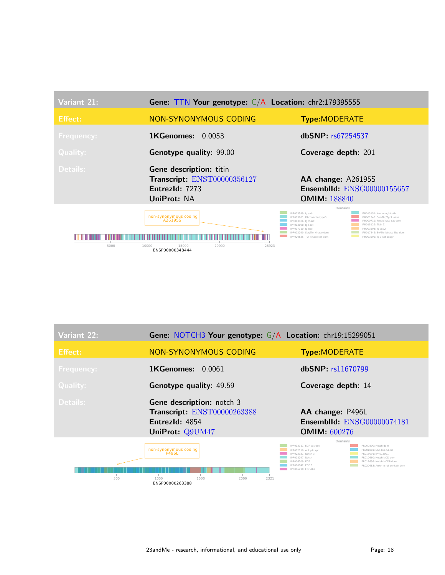| Variant 21:       | Gene: TTN Your genotype: C/A Location: chr2:179395555                                   |                                                                                                                                                                                                                                                                                                                                                                                                                 |
|-------------------|-----------------------------------------------------------------------------------------|-----------------------------------------------------------------------------------------------------------------------------------------------------------------------------------------------------------------------------------------------------------------------------------------------------------------------------------------------------------------------------------------------------------------|
| <b>Effect:</b>    | NON-SYNONYMOUS CODING                                                                   | <b>Type:MODERATE</b>                                                                                                                                                                                                                                                                                                                                                                                            |
| <b>Frequency:</b> | <b>1KGenomes:</b><br>0.0053                                                             | dbSNP rs67254537                                                                                                                                                                                                                                                                                                                                                                                                |
| <b>Quality:</b>   | <b>Genotype quality: 99.00</b>                                                          | Coverage depth: 201                                                                                                                                                                                                                                                                                                                                                                                             |
| <b>Details:</b>   | Gene description: titin<br>Transcript: ENST00000356127<br>EntrezId: 7273<br>UniProt: NA | AA change: A26195S<br><b>Ensemblid: ENSG00000155657</b><br><b>OMIM: 188840</b>                                                                                                                                                                                                                                                                                                                                  |
| 5000              | non-synonymous coding<br>A26195S<br>15000<br>20000<br>10000<br>26923<br>ENSP00000348444 | Domains<br>IPR003599: Ia sub<br>IPR013151: Immunoglobulin<br>IPR003961: Fibronectin type3<br>IPR001245: Ser-Thr/Tvr kinase<br>PR000719: Prot kinase cat dom<br>IPR013106: la V-set<br>IPR015129: Titin 7<br>IPR013098: la I-set<br>IPR007110: Iq-like<br>IPR003598: Ia sub2<br>IPR002290: Ser/Thr kinase dom<br>IPR017442: Se/Thr kinase-like dom<br>IPR020635: Tyr kinase cat dom<br>IPR003596: Iq V-set subgr |

| Variant 22:       | Gene: NOTCH3 Your genotype: G/A Location: chr19:15299051                                             |                                                                                                                                                                                                                                                                                                                                              |
|-------------------|------------------------------------------------------------------------------------------------------|----------------------------------------------------------------------------------------------------------------------------------------------------------------------------------------------------------------------------------------------------------------------------------------------------------------------------------------------|
| Effect:           | NON-SYNONYMOUS CODING                                                                                | <b>Type:MODERATE</b>                                                                                                                                                                                                                                                                                                                         |
| <b>Frequency:</b> | <b>1KGenomes:</b><br>0.0061                                                                          | dbSNP: rs11670799                                                                                                                                                                                                                                                                                                                            |
| Quality:          | Genotype quality: 49.59                                                                              | Coverage depth: 14                                                                                                                                                                                                                                                                                                                           |
| Details:          | <b>Gene description:</b> notch 3<br>Transcript: ENST00000263388<br>EntrezId: 4854<br>UniProt: Q9UM47 | AA change: P496L<br><b>Ensemblid: ENSG00000074181</b><br><b>OMIM: 600276</b>                                                                                                                                                                                                                                                                 |
| 500               | non-synonymous coding<br><b>P496L</b><br>1000<br>1500<br>2000<br>2321<br>ENSP00000263388             | Domains<br>IPR013111: EGF extracell<br>IPR000800: Notch dom<br>IPR001881: EGF-like Ca-bd<br>IPR002110: Ankyrin rpt<br>PR022331: Notch 3<br>IPR013091: IPR013091<br>IPR010660: Notch NOD dom<br>PR008297: Notch<br>IPR011656: Notch NODP dom<br>PR006209: FGF<br>PR000742: EGE 3<br>IPR020683: Ankyrin rpt-contain dom<br>IPR006210: EGF-like |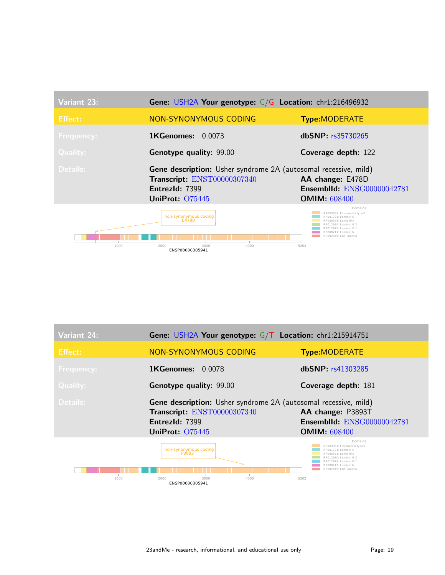| Variant 23:       | Gene: USH2A Your genotype: C/G Location: chr1:216496932                                                                                    |                                                                                                                                                                                                      |
|-------------------|--------------------------------------------------------------------------------------------------------------------------------------------|------------------------------------------------------------------------------------------------------------------------------------------------------------------------------------------------------|
| Effect:           | NON-SYNONYMOUS CODING                                                                                                                      | <b>Type:MODERATE</b>                                                                                                                                                                                 |
| <b>Frequency:</b> | 1KGenomes: 0.0073                                                                                                                          | dbSNP: rs35730265                                                                                                                                                                                    |
| <b>Quality:</b>   | Genotype quality: 99.00                                                                                                                    | Coverage depth: 122                                                                                                                                                                                  |
| Details:          | <b>Gene description:</b> Usher syndrome 2A (autosomal recessive, mild)<br>Transcript: ENST00000307340<br>EntrezId: 7399<br>UniProt: 075445 | AA change: E478D<br><b>Ensemblid: ENSG00000042781</b><br><b>OMIM: 608400</b>                                                                                                                         |
| 1000              | non-synonymous coding<br><b>E478D</b><br>2000<br>4000<br>3000<br>ENSP00000305941                                                           | Domains<br>IPR003961: Fibronectin type3<br>PR001791: Laminin G<br>IPR006558: LamG-like<br>IPR012680: Laminin G 2<br>IPR012679: Laminin G 1<br>IPR008211: Laminin N<br>IPR002049: EGF laminin<br>5202 |

| <b>Variant 24:</b> | Gene: USH2A Your genotype: G/T Location: chr1:215914751                                                                             |                                                                                                                                                                                                           |
|--------------------|-------------------------------------------------------------------------------------------------------------------------------------|-----------------------------------------------------------------------------------------------------------------------------------------------------------------------------------------------------------|
| <b>Effect:</b>     | <b>NON-SYNONYMOUS CODING</b>                                                                                                        | <b>Type:MODERATE</b>                                                                                                                                                                                      |
| <b>Frequency:</b>  | <b>1KGenomes: 0.0078</b>                                                                                                            | dbSNP: rs41303285                                                                                                                                                                                         |
| Quality:           | <b>Genotype quality: 99.00</b>                                                                                                      | Coverage depth: 181                                                                                                                                                                                       |
| Details:           | Gene description: Usher syndrome 2A (autosomal recessive, mild)<br>Transcript: ENST00000307340<br>EntrezId: 7399<br>UniProt: 075445 | AA change: P3893T<br><b>Ensemblid: ENSG00000042781</b><br><b>OMIM: 608400</b>                                                                                                                             |
| 1000               | non-synonymous coding<br>P3893T<br>2000<br>3000<br>4000<br>ENSP00000305941                                                          | Domains<br>IPR003961: Fibronectin type3<br>IPR001791: Laminin G<br>IPR006558: LamG-like<br><b>PR012680: Laminin G 2</b><br>PR012679: Laminin G 1<br>PR008211: Laminin N<br>IPR002049: EGF laminin<br>5202 |

23andMe - research, informational, and educational use only entitled as Page: 19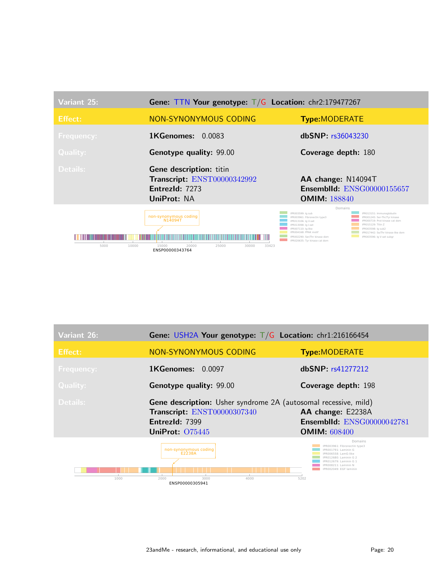| Variant 25:       | Gene: TTN Your genotype: $T/G$ Location: chr2:179477267                                          |                                                                                                                                                                                                                                                                                                                                                                                                                                          |
|-------------------|--------------------------------------------------------------------------------------------------|------------------------------------------------------------------------------------------------------------------------------------------------------------------------------------------------------------------------------------------------------------------------------------------------------------------------------------------------------------------------------------------------------------------------------------------|
| <b>Effect:</b>    | <b>NON-SYNONYMOUS CODING</b>                                                                     | <b>Type:MODERATE</b>                                                                                                                                                                                                                                                                                                                                                                                                                     |
| <b>Frequency:</b> | <b>1KGenomes: 0.0083</b>                                                                         | dbSNP: r <sub>s</sub> 36043230                                                                                                                                                                                                                                                                                                                                                                                                           |
| <b>Quality:</b>   | Genotype quality: 99.00                                                                          | Coverage depth: 180                                                                                                                                                                                                                                                                                                                                                                                                                      |
| Details:          | Gene description: titin<br>Transcript: ENST00000342992<br>EntrezId: 7273<br>UniProt: NA          | AA change: N14094T<br><b>Ensemblid: ENSG00000155657</b><br><b>OMIM: 188840</b>                                                                                                                                                                                                                                                                                                                                                           |
| 5000<br>10000     | non-synonymous coding<br>N14094T<br>15000<br>20000<br>25000<br>30000<br>33423<br>ENSP00000343764 | Domains<br>IPR003599: la sub<br>IPR013151: Immunoalobulin<br>IPR003961: Fibronectin type3<br>IPR001245: Ser-Thr/Tyr kinase<br>IPR000719: Prot kinase cat dom<br>IPR013106: Iq V-set<br>IPR015129: Titin 7<br>IPR013098: la I-set<br>IPR007110: Ia-like<br>IPR003598: Ia sub2<br>PR004168: PPAK motif<br>IPR017442: Se/Thr kinase-like dom<br>IPR002290: Ser/Thr kinase dom<br>IPR003596: Iq V-set subgr<br>IPR020635: Tyr kinase cat dom |

| Variant 26:       | Gene: USH2A Your genotype: $T/G$ Location: chr1:216166454                                                                                  |                                                                                                                                                                                               |
|-------------------|--------------------------------------------------------------------------------------------------------------------------------------------|-----------------------------------------------------------------------------------------------------------------------------------------------------------------------------------------------|
| Effect:           | NON-SYNONYMOUS CODING                                                                                                                      | <b>Type:MODERATE</b>                                                                                                                                                                          |
| <b>Frequency:</b> | <b>1KGenomes: 0.0097</b>                                                                                                                   | dbSNP: rs41277212                                                                                                                                                                             |
| <b>Quality:</b>   | <b>Genotype quality: 99.00</b>                                                                                                             | Coverage depth: 198                                                                                                                                                                           |
| Details:          | <b>Gene description:</b> Usher syndrome 2A (autosomal recessive, mild)<br>Transcript: ENST00000307340<br>EntrezId: 7399<br>UniProt: 075445 | AA change: E2238A<br><b>Ensemblid: ENSG00000042781</b><br><b>OMIM: 608400</b>                                                                                                                 |
|                   | non-synonymous coding<br>E2238A                                                                                                            | Domains<br>IPR003961: Fibronectin type3<br>IPR001791: Laminin G<br>IPR006558: LamG-like<br>IPR012680: Laminin G 2<br>IPR012679: Laminin G 1<br>IPR008211: Laminin N<br>IPR002049: EGF laminin |

1000 2000 **ENSP00000305941** 4000 4000 5202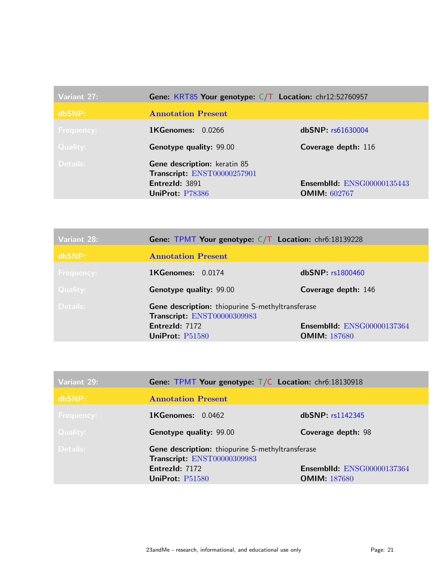| Variant 27:     | Gene: KRT85 Your genotype: C/T Location: chr12:52760957                                          |                                                          |
|-----------------|--------------------------------------------------------------------------------------------------|----------------------------------------------------------|
| dbSNP:          | <b>Annotation Present</b>                                                                        |                                                          |
| Frequency:      | <b>1KGenomes: 0.0266</b>                                                                         | dbSNP: rs61630004                                        |
| <b>Quality:</b> | <b>Genotype quality: 99.00</b>                                                                   | Coverage depth: 116                                      |
| Details:        | Gene description: keratin 85<br>Transcript: ENST00000257901<br>EntrezId: 3891<br>UniProt: P78386 | <b>Ensemblid: ENSG00000135443</b><br><b>OMIM: 602767</b> |

| Variant 28:       | <b>Gene: TPMT Your genotype:</b> $C/T$ <b>Location:</b> chr6:18139228                                                |                                                   |
|-------------------|----------------------------------------------------------------------------------------------------------------------|---------------------------------------------------|
| dbSNP:            | <b>Annotation Present</b>                                                                                            |                                                   |
| <b>Frequency:</b> | <b>1KGenomes: 0.0174</b>                                                                                             | dbSNP: r <sub>s</sub> 1800460                     |
| Quality:          | <b>Genotype quality: 99.00</b>                                                                                       | Coverage depth: 146                               |
| Details:          | Gene description: thiopurine S-methyltransferase<br>Transcript: ENST00000309983<br>EntrezId: 7172<br>UniProt: P51580 | Ensemblid: ENSG00000137364<br><b>OMIM: 187680</b> |

| Variant 29:       | Gene: TPMT Your genotype: $T/C$ Location: chr6:18130918                         |                                   |
|-------------------|---------------------------------------------------------------------------------|-----------------------------------|
| dbSNP:            | <b>Annotation Present</b>                                                       |                                   |
| <b>Frequency:</b> | $1$ KGenomes: $0.0462$                                                          | dbSNP: rsl142345                  |
| Quality:          | <b>Genotype quality: 99.00</b>                                                  | Coverage depth: 98                |
| Details:          | Gene description: thiopurine S-methyltransferase<br>Transcript: ENST00000309983 |                                   |
|                   | EntrezId: 7172                                                                  | <b>Ensemblid: ENSG00000137364</b> |
|                   | UniProt: $P51580$                                                               | <b>OMIM: 187680</b>               |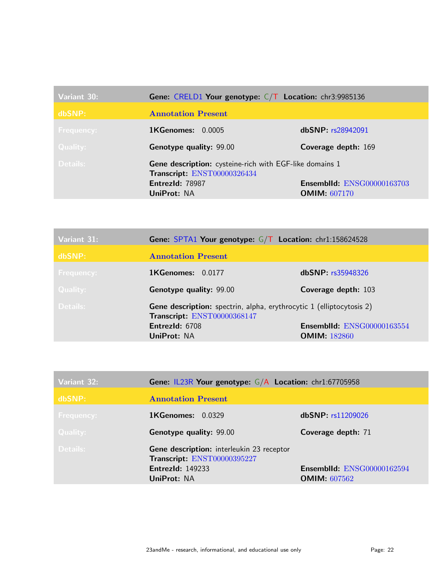| Variant 30:     | Gene: CRELD1 Your genotype: $C/T$ Location: chr3:9985136                               |                                   |
|-----------------|----------------------------------------------------------------------------------------|-----------------------------------|
| dbSNP:          | <b>Annotation Present</b>                                                              |                                   |
| Frequency:      | <b>1KGenomes: 0.0005</b>                                                               | dbSNP: rs28942091                 |
| <b>Quality:</b> | <b>Genotype quality: 99.00</b>                                                         | Coverage depth: 169               |
| Details:        | Gene description: cysteine-rich with EGF-like domains 1<br>Transcript: ENST00000326434 |                                   |
|                 | EntrezId: 78987                                                                        | <b>Ensemblid: ENSG00000163703</b> |
|                 | <b>UniProt: NA</b>                                                                     | <b>OMIM: 607170</b>               |

| Variant 31:       | <b>Gene: SPTA1 Your genotype: <math>G/T</math> Location: chr1:158624528</b>                                |                                                   |
|-------------------|------------------------------------------------------------------------------------------------------------|---------------------------------------------------|
| dbSNP:            | <b>Annotation Present</b>                                                                                  |                                                   |
| <b>Frequency:</b> | <b>1KGenomes: 0.0177</b>                                                                                   | dbSNP: rs35948326                                 |
| Quality:          | <b>Genotype quality: 99.00</b>                                                                             | Coverage depth: 103                               |
| Details:          | <b>Gene description:</b> spectrin, alpha, erythrocytic 1 (elliptocytosis 2)<br>Transcript: ENST00000368147 |                                                   |
|                   | EntrezId: 6708<br>UniProt: NA                                                                              | Ensemblid: ENSG00000163554<br><b>OMIM: 182860</b> |

| Variant 32:       | <b>Gene: IL23R Your genotype: G/A Location: chr1:67705958</b>                                                             |                                                          |
|-------------------|---------------------------------------------------------------------------------------------------------------------------|----------------------------------------------------------|
| dbSNP:            | <b>Annotation Present</b>                                                                                                 |                                                          |
| <b>Frequency:</b> | <b>1KGenomes: 0.0329</b>                                                                                                  | dbSNP: rs11209026                                        |
| Quality:          | <b>Genotype quality: 99.00</b>                                                                                            | Coverage depth: 71                                       |
| Details:          | Gene description: interleukin 23 receptor<br>Transcript: ENST00000395227<br><b>EntrezId: 149233</b><br><b>UniProt: NA</b> | <b>Ensemblid: ENSG00000162594</b><br><b>OMIM: 607562</b> |